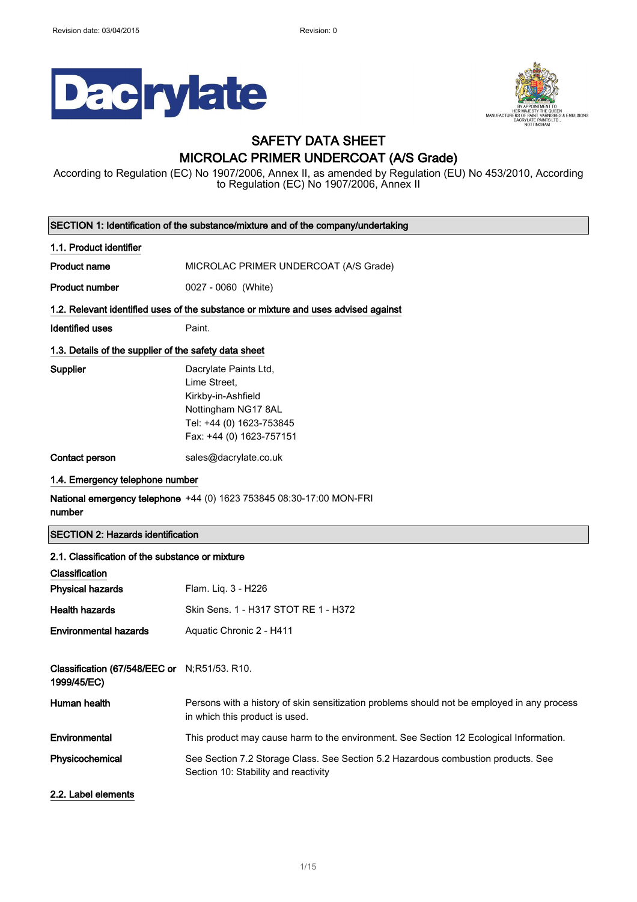$\overline{\phantom{a}}$ 





## SAFETY DATA SHEET MICROLAC PRIMER UNDERCOAT (A/S Grade)

According to Regulation (EC) No 1907/2006, Annex II, as amended by Regulation (EU) No 453/2010, According to Regulation (EC) No 1907/2006, Annex II

| SECTION 1: Identification of the substance/mixture and of the company/undertaking  |                                                                                                                                            |  |
|------------------------------------------------------------------------------------|--------------------------------------------------------------------------------------------------------------------------------------------|--|
| 1.1. Product identifier                                                            |                                                                                                                                            |  |
| <b>Product name</b>                                                                | MICROLAC PRIMER UNDERCOAT (A/S Grade)                                                                                                      |  |
| <b>Product number</b>                                                              | 0027 - 0060 (White)                                                                                                                        |  |
| 1.2. Relevant identified uses of the substance or mixture and uses advised against |                                                                                                                                            |  |
| <b>Identified uses</b>                                                             | Paint.                                                                                                                                     |  |
| 1.3. Details of the supplier of the safety data sheet                              |                                                                                                                                            |  |
| <b>Supplier</b>                                                                    | Dacrylate Paints Ltd,<br>Lime Street.<br>Kirkby-in-Ashfield<br>Nottingham NG17 8AL<br>Tel: +44 (0) 1623-753845<br>Fax: +44 (0) 1623-757151 |  |
| Contact person                                                                     | sales@dacrylate.co.uk                                                                                                                      |  |
| 1.4. Emergency telephone number                                                    |                                                                                                                                            |  |
| number                                                                             | <b>National emergency telephone</b> +44 (0) 1623 753845 08:30-17:00 MON-FRI                                                                |  |
| <b>SECTION 2: Hazards identification</b>                                           |                                                                                                                                            |  |
| 2.1. Classification of the substance or mixture                                    |                                                                                                                                            |  |
| Classification                                                                     |                                                                                                                                            |  |
| <b>Physical hazards</b>                                                            | Flam. Liq. 3 - H226                                                                                                                        |  |
| <b>Health hazards</b>                                                              | Skin Sens. 1 - H317 STOT RE 1 - H372                                                                                                       |  |
| <b>Environmental hazards</b>                                                       | Aquatic Chronic 2 - H411                                                                                                                   |  |
| Classification (67/548/EEC or N;R51/53. R10.<br>1999/45/EC)                        |                                                                                                                                            |  |
| Human health                                                                       | Persons with a history of skin sensitization problems should not be employed in any process<br>in which this product is used.              |  |
| Environmental                                                                      | This product may cause harm to the environment. See Section 12 Ecological Information.                                                     |  |
| Physicochemical                                                                    | See Section 7.2 Storage Class. See Section 5.2 Hazardous combustion products. See<br>Section 10: Stability and reactivity                  |  |
| 2.2. Label elements                                                                |                                                                                                                                            |  |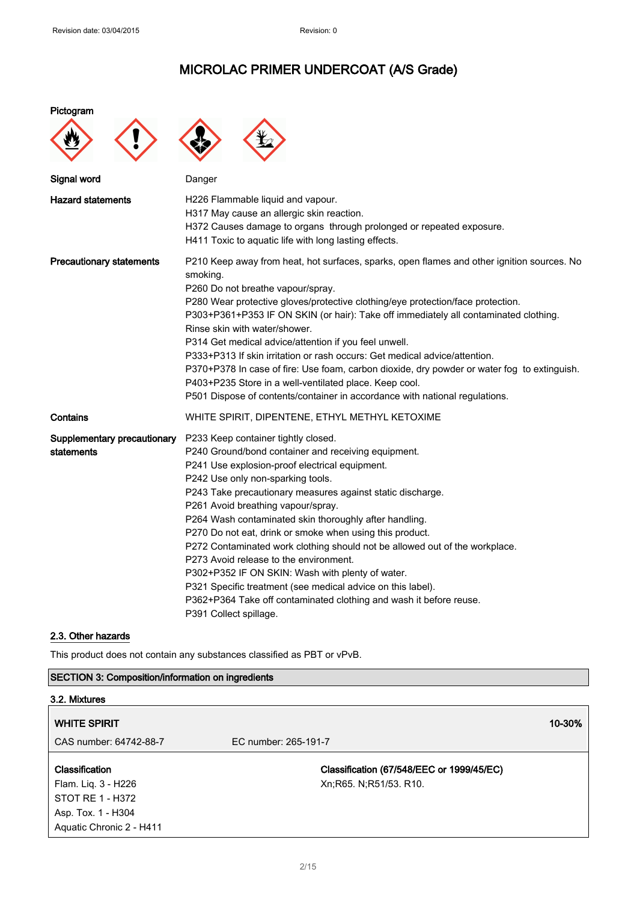#### Pictogram





| Signal word                               | Danger                                                                                                                                                                                                                                                                                                                                                                                                                                                                                                                                                                                                                                                                                                                                                  |
|-------------------------------------------|---------------------------------------------------------------------------------------------------------------------------------------------------------------------------------------------------------------------------------------------------------------------------------------------------------------------------------------------------------------------------------------------------------------------------------------------------------------------------------------------------------------------------------------------------------------------------------------------------------------------------------------------------------------------------------------------------------------------------------------------------------|
| <b>Hazard statements</b>                  | H226 Flammable liquid and vapour.<br>H317 May cause an allergic skin reaction.<br>H372 Causes damage to organs through prolonged or repeated exposure.<br>H411 Toxic to aquatic life with long lasting effects.                                                                                                                                                                                                                                                                                                                                                                                                                                                                                                                                         |
| <b>Precautionary statements</b>           | P210 Keep away from heat, hot surfaces, sparks, open flames and other ignition sources. No<br>smoking.<br>P260 Do not breathe vapour/spray.<br>P280 Wear protective gloves/protective clothing/eye protection/face protection.<br>P303+P361+P353 IF ON SKIN (or hair): Take off immediately all contaminated clothing.<br>Rinse skin with water/shower.<br>P314 Get medical advice/attention if you feel unwell.<br>P333+P313 If skin irritation or rash occurs: Get medical advice/attention.<br>P370+P378 In case of fire: Use foam, carbon dioxide, dry powder or water fog to extinguish.<br>P403+P235 Store in a well-ventilated place. Keep cool.<br>P501 Dispose of contents/container in accordance with national regulations.                  |
| Contains                                  | WHITE SPIRIT, DIPENTENE, ETHYL METHYL KETOXIME                                                                                                                                                                                                                                                                                                                                                                                                                                                                                                                                                                                                                                                                                                          |
| Supplementary precautionary<br>statements | P233 Keep container tightly closed.<br>P240 Ground/bond container and receiving equipment.<br>P241 Use explosion-proof electrical equipment.<br>P242 Use only non-sparking tools.<br>P243 Take precautionary measures against static discharge.<br>P261 Avoid breathing vapour/spray.<br>P264 Wash contaminated skin thoroughly after handling.<br>P270 Do not eat, drink or smoke when using this product.<br>P272 Contaminated work clothing should not be allowed out of the workplace.<br>P273 Avoid release to the environment.<br>P302+P352 IF ON SKIN: Wash with plenty of water.<br>P321 Specific treatment (see medical advice on this label).<br>P362+P364 Take off contaminated clothing and wash it before reuse.<br>P391 Collect spillage. |

### 2.3. Other hazards

This product does not contain any substances classified as PBT or vPvB.

### SECTION 3: Composition/information on ingredients

| 3.2. Mixtures            |                                           |        |
|--------------------------|-------------------------------------------|--------|
| <b>WHITE SPIRIT</b>      |                                           | 10-30% |
| CAS number: 64742-88-7   | EC number: 265-191-7                      |        |
| Classification           | Classification (67/548/EEC or 1999/45/EC) |        |
| Flam. Liq. 3 - H226      | Xn; R65. N; R51/53. R10.                  |        |
| STOT RE 1 - H372         |                                           |        |
| Asp. Tox. 1 - H304       |                                           |        |
| Aquatic Chronic 2 - H411 |                                           |        |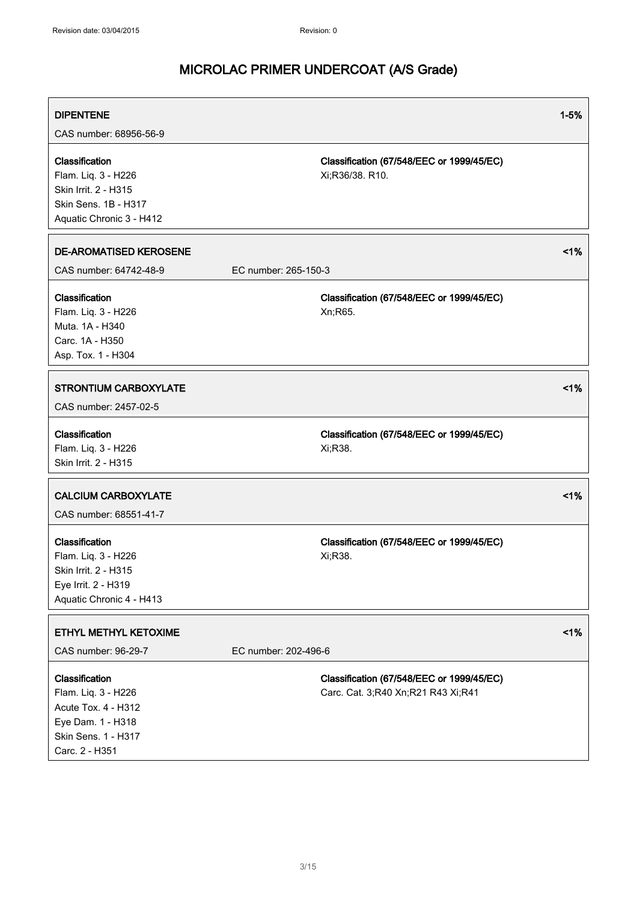| <b>DIPENTENE</b><br>CAS number: 68956-56-9                                                                                 |                                                                                 | $1 - 5%$ |
|----------------------------------------------------------------------------------------------------------------------------|---------------------------------------------------------------------------------|----------|
| Classification<br>Flam. Liq. 3 - H226<br>Skin Irrit. 2 - H315<br>Skin Sens. 1B - H317<br>Aquatic Chronic 3 - H412          | Classification (67/548/EEC or 1999/45/EC)<br>Xi;R36/38. R10.                    |          |
| <b>DE-AROMATISED KEROSENE</b><br>CAS number: 64742-48-9                                                                    | EC number: 265-150-3                                                            | 1%       |
| Classification<br>Flam. Liq. 3 - H226<br>Muta. 1A - H340<br>Carc. 1A - H350<br>Asp. Tox. 1 - H304                          | Classification (67/548/EEC or 1999/45/EC)<br>Xn;R65.                            |          |
| <b>STRONTIUM CARBOXYLATE</b><br>CAS number: 2457-02-5                                                                      |                                                                                 | 1%       |
| Classification<br>Flam. Liq. 3 - H226<br>Skin Irrit. 2 - H315                                                              | Classification (67/548/EEC or 1999/45/EC)<br>Xi;R38.                            |          |
| <b>CALCIUM CARBOXYLATE</b><br>CAS number: 68551-41-7                                                                       |                                                                                 | 1%       |
| Classification<br>Flam. Liq. 3 - H226<br>Skin Irrit. 2 - H315<br>Eye Irrit. 2 - H319<br>Aquatic Chronic 4 - H413           | Classification (67/548/EEC or 1999/45/EC)<br>Xi;R38.                            |          |
| ETHYL METHYL KETOXIME<br>CAS number: 96-29-7                                                                               | EC number: 202-496-6                                                            | 1%       |
| Classification<br>Flam. Liq. 3 - H226<br>Acute Tox. 4 - H312<br>Eye Dam. 1 - H318<br>Skin Sens. 1 - H317<br>Carc. 2 - H351 | Classification (67/548/EEC or 1999/45/EC)<br>Carc. Cat. 3;R40 Xn;R21 R43 Xi;R41 |          |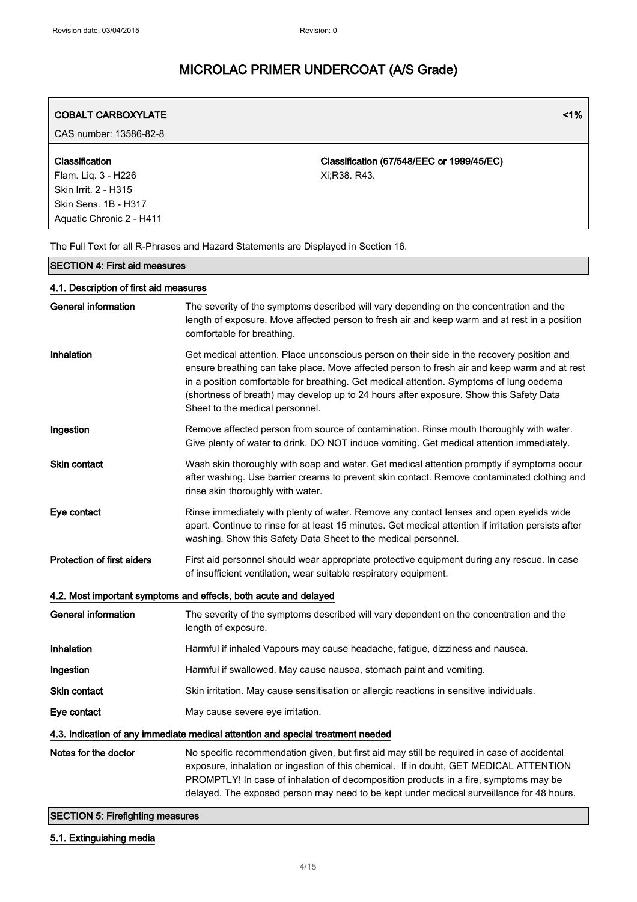| <b>COBALT CARBOXYLATE</b>                                                                                         | 1%                                                                                                                                                                                                                                                                                                                                                                                                                 |
|-------------------------------------------------------------------------------------------------------------------|--------------------------------------------------------------------------------------------------------------------------------------------------------------------------------------------------------------------------------------------------------------------------------------------------------------------------------------------------------------------------------------------------------------------|
| CAS number: 13586-82-8                                                                                            |                                                                                                                                                                                                                                                                                                                                                                                                                    |
| Classification<br>Flam. Liq. 3 - H226<br>Skin Irrit. 2 - H315<br>Skin Sens. 1B - H317<br>Aquatic Chronic 2 - H411 | Classification (67/548/EEC or 1999/45/EC)<br>Xi;R38. R43.                                                                                                                                                                                                                                                                                                                                                          |
|                                                                                                                   | The Full Text for all R-Phrases and Hazard Statements are Displayed in Section 16.                                                                                                                                                                                                                                                                                                                                 |
| <b>SECTION 4: First aid measures</b>                                                                              |                                                                                                                                                                                                                                                                                                                                                                                                                    |
| 4.1. Description of first aid measures                                                                            |                                                                                                                                                                                                                                                                                                                                                                                                                    |
| <b>General information</b>                                                                                        | The severity of the symptoms described will vary depending on the concentration and the<br>length of exposure. Move affected person to fresh air and keep warm and at rest in a position<br>comfortable for breathing.                                                                                                                                                                                             |
| Inhalation                                                                                                        | Get medical attention. Place unconscious person on their side in the recovery position and<br>ensure breathing can take place. Move affected person to fresh air and keep warm and at rest<br>in a position comfortable for breathing. Get medical attention. Symptoms of lung oedema<br>(shortness of breath) may develop up to 24 hours after exposure. Show this Safety Data<br>Sheet to the medical personnel. |
| Ingestion                                                                                                         | Remove affected person from source of contamination. Rinse mouth thoroughly with water.<br>Give plenty of water to drink. DO NOT induce vomiting. Get medical attention immediately.                                                                                                                                                                                                                               |
| <b>Skin contact</b>                                                                                               | Wash skin thoroughly with soap and water. Get medical attention promptly if symptoms occur<br>after washing. Use barrier creams to prevent skin contact. Remove contaminated clothing and<br>rinse skin thoroughly with water.                                                                                                                                                                                     |
| Eye contact                                                                                                       | Rinse immediately with plenty of water. Remove any contact lenses and open eyelids wide<br>apart. Continue to rinse for at least 15 minutes. Get medical attention if irritation persists after<br>washing. Show this Safety Data Sheet to the medical personnel.                                                                                                                                                  |
| <b>Protection of first aiders</b>                                                                                 | First aid personnel should wear appropriate protective equipment during any rescue. In case<br>of insufficient ventilation, wear suitable respiratory equipment.                                                                                                                                                                                                                                                   |
|                                                                                                                   | 4.2. Most important symptoms and effects, both acute and delayed                                                                                                                                                                                                                                                                                                                                                   |
| <b>General information</b>                                                                                        | The severity of the symptoms described will vary dependent on the concentration and the<br>length of exposure.                                                                                                                                                                                                                                                                                                     |
| Inhalation                                                                                                        | Harmful if inhaled Vapours may cause headache, fatigue, dizziness and nausea.                                                                                                                                                                                                                                                                                                                                      |
| Ingestion                                                                                                         | Harmful if swallowed. May cause nausea, stomach paint and vomiting.                                                                                                                                                                                                                                                                                                                                                |
| <b>Skin contact</b>                                                                                               | Skin irritation. May cause sensitisation or allergic reactions in sensitive individuals.                                                                                                                                                                                                                                                                                                                           |
| Eye contact                                                                                                       | May cause severe eye irritation.                                                                                                                                                                                                                                                                                                                                                                                   |
|                                                                                                                   | 4.3. Indication of any immediate medical attention and special treatment needed                                                                                                                                                                                                                                                                                                                                    |
| Notes for the doctor                                                                                              | No specific recommendation given, but first aid may still be required in case of accidental<br>exposure, inhalation or ingestion of this chemical. If in doubt, GET MEDICAL ATTENTION<br>PROMPTLY! In case of inhalation of decomposition products in a fire, symptoms may be<br>delayed. The exposed person may need to be kept under medical surveillance for 48 hours.                                          |

### SECTION 5: Firefighting measures

### 5.1. Extinguishing media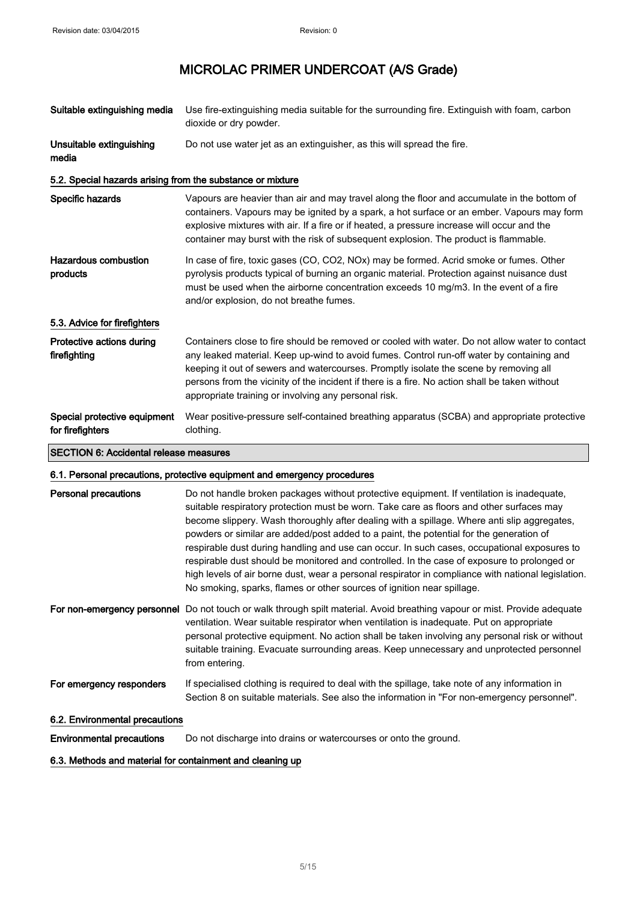| Suitable extinguishing media                               | Use fire-extinguishing media suitable for the surrounding fire. Extinguish with foam, carbon<br>dioxide or dry powder.                                                                                                                                                                                                                                                                                                                         |
|------------------------------------------------------------|------------------------------------------------------------------------------------------------------------------------------------------------------------------------------------------------------------------------------------------------------------------------------------------------------------------------------------------------------------------------------------------------------------------------------------------------|
| Unsuitable extinguishing<br>media                          | Do not use water jet as an extinguisher, as this will spread the fire.                                                                                                                                                                                                                                                                                                                                                                         |
| 5.2. Special hazards arising from the substance or mixture |                                                                                                                                                                                                                                                                                                                                                                                                                                                |
| Specific hazards                                           | Vapours are heavier than air and may travel along the floor and accumulate in the bottom of<br>containers. Vapours may be ignited by a spark, a hot surface or an ember. Vapours may form<br>explosive mixtures with air. If a fire or if heated, a pressure increase will occur and the<br>container may burst with the risk of subsequent explosion. The product is flammable.                                                               |
| <b>Hazardous combustion</b><br>products                    | In case of fire, toxic gases (CO, CO2, NOx) may be formed. Acrid smoke or fumes. Other<br>pyrolysis products typical of burning an organic material. Protection against nuisance dust<br>must be used when the airborne concentration exceeds 10 mg/m3. In the event of a fire<br>and/or explosion, do not breathe fumes.                                                                                                                      |
| 5.3. Advice for firefighters                               |                                                                                                                                                                                                                                                                                                                                                                                                                                                |
| Protective actions during<br>firefighting                  | Containers close to fire should be removed or cooled with water. Do not allow water to contact<br>any leaked material. Keep up-wind to avoid fumes. Control run-off water by containing and<br>keeping it out of sewers and watercourses. Promptly isolate the scene by removing all<br>persons from the vicinity of the incident if there is a fire. No action shall be taken without<br>appropriate training or involving any personal risk. |
| Special protective equipment<br>for firefighters           | Wear positive-pressure self-contained breathing apparatus (SCBA) and appropriate protective<br>clothing.                                                                                                                                                                                                                                                                                                                                       |
| <b>SECTION 6: Accidental release measures</b>              |                                                                                                                                                                                                                                                                                                                                                                                                                                                |

### 6.1. Personal precautions, protective equipment and emergency procedures

| <b>Personal precautions</b>    | Do not handle broken packages without protective equipment. If ventilation is inadequate,<br>suitable respiratory protection must be worn. Take care as floors and other surfaces may<br>become slippery. Wash thoroughly after dealing with a spillage. Where anti slip aggregates,<br>powders or similar are added/post added to a paint, the potential for the generation of<br>respirable dust during handling and use can occur. In such cases, occupational exposures to<br>respirable dust should be monitored and controlled. In the case of exposure to prolonged or<br>high levels of air borne dust, wear a personal respirator in compliance with national legislation.<br>No smoking, sparks, flames or other sources of ignition near spillage. |
|--------------------------------|---------------------------------------------------------------------------------------------------------------------------------------------------------------------------------------------------------------------------------------------------------------------------------------------------------------------------------------------------------------------------------------------------------------------------------------------------------------------------------------------------------------------------------------------------------------------------------------------------------------------------------------------------------------------------------------------------------------------------------------------------------------|
| For non-emergency personnel    | Do not touch or walk through spilt material. Avoid breathing vapour or mist. Provide adequate<br>ventilation. Wear suitable respirator when ventilation is inadequate. Put on appropriate<br>personal protective equipment. No action shall be taken involving any personal risk or without<br>suitable training. Evacuate surrounding areas. Keep unnecessary and unprotected personnel<br>from entering.                                                                                                                                                                                                                                                                                                                                                    |
| For emergency responders       | If specialised clothing is required to deal with the spillage, take note of any information in<br>Section 8 on suitable materials. See also the information in "For non-emergency personnel".                                                                                                                                                                                                                                                                                                                                                                                                                                                                                                                                                                 |
| 6.2. Environmental precautions |                                                                                                                                                                                                                                                                                                                                                                                                                                                                                                                                                                                                                                                                                                                                                               |

Environmental precautions Do not discharge into drains or watercourses or onto the ground.

#### 6.3. Methods and material for containment and cleaning up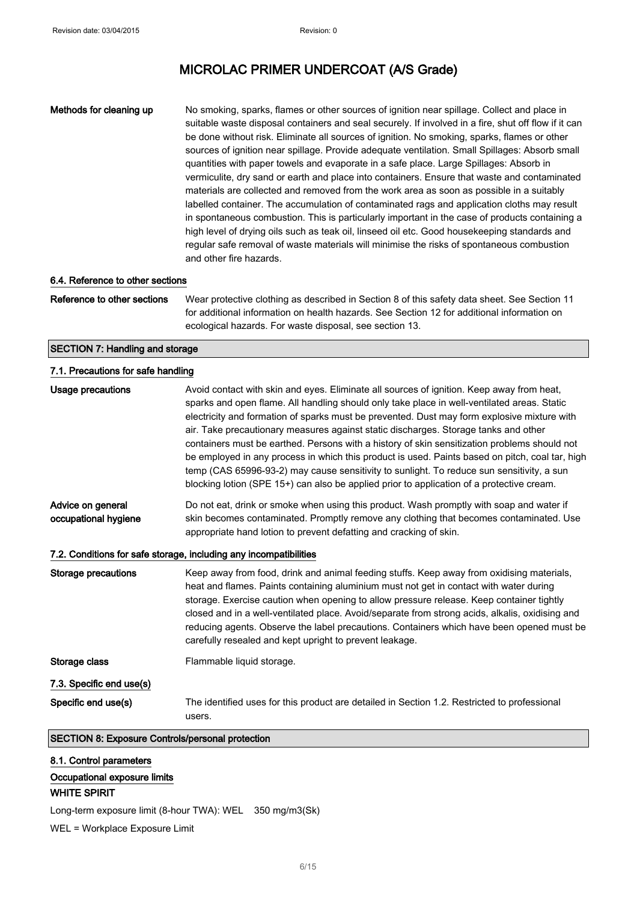Methods for cleaning up No smoking, sparks, flames or other sources of ignition near spillage. Collect and place in suitable waste disposal containers and seal securely. If involved in a fire, shut off flow if it can be done without risk. Eliminate all sources of ignition. No smoking, sparks, flames or other sources of ignition near spillage. Provide adequate ventilation. Small Spillages: Absorb small quantities with paper towels and evaporate in a safe place. Large Spillages: Absorb in vermiculite, dry sand or earth and place into containers. Ensure that waste and contaminated materials are collected and removed from the work area as soon as possible in a suitably labelled container. The accumulation of contaminated rags and application cloths may result in spontaneous combustion. This is particularly important in the case of products containing a high level of drying oils such as teak oil, linseed oil etc. Good housekeeping standards and regular safe removal of waste materials will minimise the risks of spontaneous combustion and other fire hazards.

#### 6.4. Reference to other sections

Reference to other sections Wear protective clothing as described in Section 8 of this safety data sheet. See Section 11 for additional information on health hazards. See Section 12 for additional information on ecological hazards. For waste disposal, see section 13.

#### SECTION 7: Handling and storage

#### 7.1. Precautions for safe handling

| <b>Usage precautions</b>                                          | Avoid contact with skin and eyes. Eliminate all sources of ignition. Keep away from heat,<br>sparks and open flame. All handling should only take place in well-ventilated areas. Static<br>electricity and formation of sparks must be prevented. Dust may form explosive mixture with<br>air. Take precautionary measures against static discharges. Storage tanks and other<br>containers must be earthed. Persons with a history of skin sensitization problems should not<br>be employed in any process in which this product is used. Paints based on pitch, coal tar, high<br>temp (CAS 65996-93-2) may cause sensitivity to sunlight. To reduce sun sensitivity, a sun<br>blocking lotion (SPE 15+) can also be applied prior to application of a protective cream. |  |
|-------------------------------------------------------------------|-----------------------------------------------------------------------------------------------------------------------------------------------------------------------------------------------------------------------------------------------------------------------------------------------------------------------------------------------------------------------------------------------------------------------------------------------------------------------------------------------------------------------------------------------------------------------------------------------------------------------------------------------------------------------------------------------------------------------------------------------------------------------------|--|
| Advice on general<br>occupational hygiene                         | Do not eat, drink or smoke when using this product. Wash promptly with soap and water if<br>skin becomes contaminated. Promptly remove any clothing that becomes contaminated. Use<br>appropriate hand lotion to prevent defatting and cracking of skin.                                                                                                                                                                                                                                                                                                                                                                                                                                                                                                                    |  |
| 7.2. Conditions for safe storage, including any incompatibilities |                                                                                                                                                                                                                                                                                                                                                                                                                                                                                                                                                                                                                                                                                                                                                                             |  |
| <b>Storage precautions</b>                                        | Keep away from food, drink and animal feeding stuffs. Keep away from oxidising materials,<br>heat and flames. Paints containing aluminium must not get in contact with water during<br>storage. Exercise caution when opening to allow pressure release. Keep container tightly<br>closed and in a well-ventilated place. Avoid/separate from strong acids, alkalis, oxidising and<br>reducing agents. Observe the label precautions. Containers which have been opened must be<br>carefully resealed and kept upright to prevent leakage.                                                                                                                                                                                                                                  |  |
| Storage class                                                     | Flammable liquid storage.                                                                                                                                                                                                                                                                                                                                                                                                                                                                                                                                                                                                                                                                                                                                                   |  |
| 7.3. Specific end use(s)                                          |                                                                                                                                                                                                                                                                                                                                                                                                                                                                                                                                                                                                                                                                                                                                                                             |  |
| Specific end use(s)                                               | The identified uses for this product are detailed in Section 1.2. Restricted to professional<br>users.                                                                                                                                                                                                                                                                                                                                                                                                                                                                                                                                                                                                                                                                      |  |
| <b>SECTION 8: Exposure Controls/personal protection</b>           |                                                                                                                                                                                                                                                                                                                                                                                                                                                                                                                                                                                                                                                                                                                                                                             |  |

8.1. Control parameters Occupational exposure limits WHITE SPIRIT

Long-term exposure limit (8-hour TWA): WEL 350 mg/m3(Sk)

WEL = Workplace Exposure Limit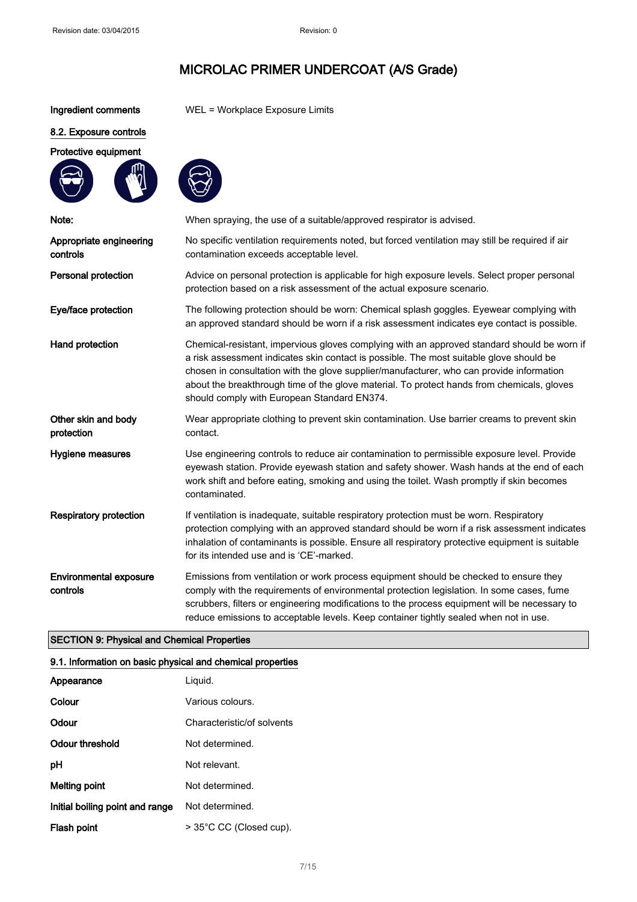Ingredient comments WEL = Workplace Exposure Limits

#### 8.2. Exposure controls

### Protective equipment



| Note:                                     | When spraying, the use of a suitable/approved respirator is advised.                                                                                                                                                                                                                                                                                                                                                            |
|-------------------------------------------|---------------------------------------------------------------------------------------------------------------------------------------------------------------------------------------------------------------------------------------------------------------------------------------------------------------------------------------------------------------------------------------------------------------------------------|
| Appropriate engineering<br>controls       | No specific ventilation requirements noted, but forced ventilation may still be required if air<br>contamination exceeds acceptable level.                                                                                                                                                                                                                                                                                      |
| Personal protection                       | Advice on personal protection is applicable for high exposure levels. Select proper personal<br>protection based on a risk assessment of the actual exposure scenario.                                                                                                                                                                                                                                                          |
| Eye/face protection                       | The following protection should be worn: Chemical splash goggles. Eyewear complying with<br>an approved standard should be worn if a risk assessment indicates eye contact is possible.                                                                                                                                                                                                                                         |
| Hand protection                           | Chemical-resistant, impervious gloves complying with an approved standard should be worn if<br>a risk assessment indicates skin contact is possible. The most suitable glove should be<br>chosen in consultation with the glove supplier/manufacturer, who can provide information<br>about the breakthrough time of the glove material. To protect hands from chemicals, gloves<br>should comply with European Standard EN374. |
| Other skin and body<br>protection         | Wear appropriate clothing to prevent skin contamination. Use barrier creams to prevent skin<br>contact.                                                                                                                                                                                                                                                                                                                         |
| Hygiene measures                          | Use engineering controls to reduce air contamination to permissible exposure level. Provide<br>eyewash station. Provide eyewash station and safety shower. Wash hands at the end of each<br>work shift and before eating, smoking and using the toilet. Wash promptly if skin becomes<br>contaminated.                                                                                                                          |
| <b>Respiratory protection</b>             | If ventilation is inadequate, suitable respiratory protection must be worn. Respiratory<br>protection complying with an approved standard should be worn if a risk assessment indicates<br>inhalation of contaminants is possible. Ensure all respiratory protective equipment is suitable<br>for its intended use and is 'CE'-marked.                                                                                          |
| <b>Environmental exposure</b><br>controls | Emissions from ventilation or work process equipment should be checked to ensure they<br>comply with the requirements of environmental protection legislation. In some cases, fume<br>scrubbers, filters or engineering modifications to the process equipment will be necessary to<br>reduce emissions to acceptable levels. Keep container tightly sealed when not in use.                                                    |

### SECTION 9: Physical and Chemical Properties

### 9.1. Information on basic physical and chemical properties

| Appearance                      | Liguid.                    |
|---------------------------------|----------------------------|
| Colour                          | Various colours.           |
| Odour                           | Characteristic/of solvents |
| Odour threshold                 | Not determined.            |
| рH                              | Not relevant.              |
| Melting point                   | Not determined.            |
| Initial boiling point and range | Not determined.            |
| Flash point                     | > 35°C CC (Closed cup).    |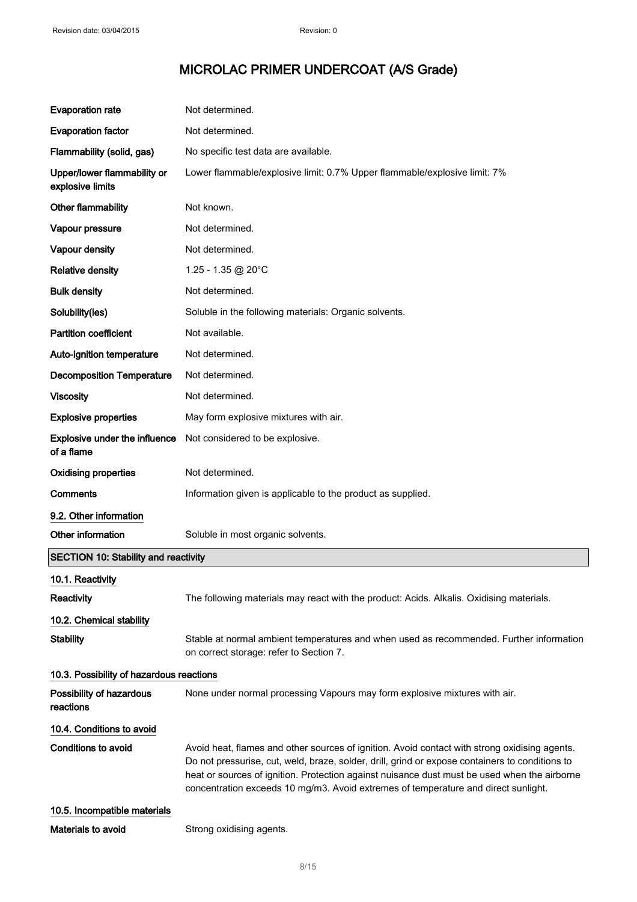| <b>Evaporation rate</b>                            | Not determined.                                                                                                                                                                                                                                                                                                                                                                        |
|----------------------------------------------------|----------------------------------------------------------------------------------------------------------------------------------------------------------------------------------------------------------------------------------------------------------------------------------------------------------------------------------------------------------------------------------------|
| <b>Evaporation factor</b>                          | Not determined.                                                                                                                                                                                                                                                                                                                                                                        |
| Flammability (solid, gas)                          | No specific test data are available.                                                                                                                                                                                                                                                                                                                                                   |
| Upper/lower flammability or<br>explosive limits    | Lower flammable/explosive limit: 0.7% Upper flammable/explosive limit: 7%                                                                                                                                                                                                                                                                                                              |
| Other flammability                                 | Not known.                                                                                                                                                                                                                                                                                                                                                                             |
| Vapour pressure                                    | Not determined.                                                                                                                                                                                                                                                                                                                                                                        |
| Vapour density                                     | Not determined.                                                                                                                                                                                                                                                                                                                                                                        |
| <b>Relative density</b>                            | 1.25 - 1.35 @ 20°C                                                                                                                                                                                                                                                                                                                                                                     |
| <b>Bulk density</b>                                | Not determined.                                                                                                                                                                                                                                                                                                                                                                        |
| Solubility(ies)                                    | Soluble in the following materials: Organic solvents.                                                                                                                                                                                                                                                                                                                                  |
| <b>Partition coefficient</b>                       | Not available.                                                                                                                                                                                                                                                                                                                                                                         |
| Auto-ignition temperature                          | Not determined.                                                                                                                                                                                                                                                                                                                                                                        |
| <b>Decomposition Temperature</b>                   | Not determined.                                                                                                                                                                                                                                                                                                                                                                        |
| <b>Viscosity</b>                                   | Not determined.                                                                                                                                                                                                                                                                                                                                                                        |
| <b>Explosive properties</b>                        | May form explosive mixtures with air.                                                                                                                                                                                                                                                                                                                                                  |
| <b>Explosive under the influence</b><br>of a flame | Not considered to be explosive.                                                                                                                                                                                                                                                                                                                                                        |
| <b>Oxidising properties</b>                        | Not determined.                                                                                                                                                                                                                                                                                                                                                                        |
| Comments                                           | Information given is applicable to the product as supplied.                                                                                                                                                                                                                                                                                                                            |
| 9.2. Other information                             |                                                                                                                                                                                                                                                                                                                                                                                        |
| Other information                                  | Soluble in most organic solvents.                                                                                                                                                                                                                                                                                                                                                      |
| <b>SECTION 10: Stability and reactivity</b>        |                                                                                                                                                                                                                                                                                                                                                                                        |
| 10.1. Reactivity                                   |                                                                                                                                                                                                                                                                                                                                                                                        |
| <b>Reactivity</b>                                  | The following materials may react with the product: Acids. Alkalis. Oxidising materials.                                                                                                                                                                                                                                                                                               |
| 10.2. Chemical stability                           |                                                                                                                                                                                                                                                                                                                                                                                        |
| <b>Stability</b>                                   | Stable at normal ambient temperatures and when used as recommended. Further information<br>on correct storage: refer to Section 7.                                                                                                                                                                                                                                                     |
| 10.3. Possibility of hazardous reactions           |                                                                                                                                                                                                                                                                                                                                                                                        |
| Possibility of hazardous<br>reactions              | None under normal processing Vapours may form explosive mixtures with air.                                                                                                                                                                                                                                                                                                             |
| 10.4. Conditions to avoid                          |                                                                                                                                                                                                                                                                                                                                                                                        |
| <b>Conditions to avoid</b>                         | Avoid heat, flames and other sources of ignition. Avoid contact with strong oxidising agents.<br>Do not pressurise, cut, weld, braze, solder, drill, grind or expose containers to conditions to<br>heat or sources of ignition. Protection against nuisance dust must be used when the airborne<br>concentration exceeds 10 mg/m3. Avoid extremes of temperature and direct sunlight. |
| 10.5. Incompatible materials                       |                                                                                                                                                                                                                                                                                                                                                                                        |
| Materials to avoid                                 | Strong oxidising agents.                                                                                                                                                                                                                                                                                                                                                               |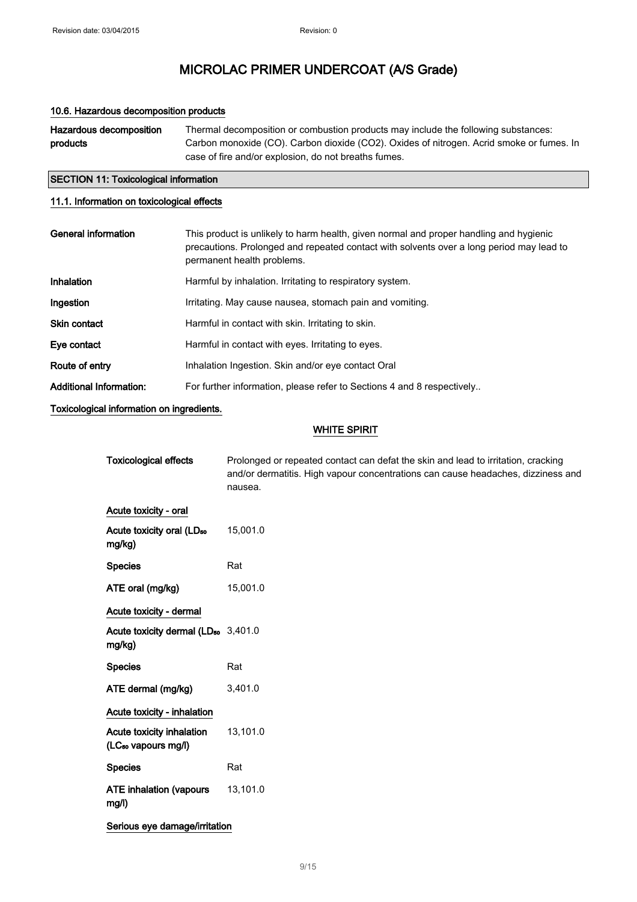#### 10.6. Hazardous decomposition products

| Hazardous decomposition | Thermal decomposition or combustion products may include the following substances:       |
|-------------------------|------------------------------------------------------------------------------------------|
| products                | Carbon monoxide (CO). Carbon dioxide (CO2). Oxides of nitrogen. Acrid smoke or fumes. In |
|                         | case of fire and/or explosion, do not breaths fumes.                                     |

# SECTION 11: Toxicological information

### 11.1. Information on toxicological effects

| General information            | This product is unlikely to harm health, given normal and proper handling and hygienic<br>precautions. Prolonged and repeated contact with solvents over a long period may lead to<br>permanent health problems. |
|--------------------------------|------------------------------------------------------------------------------------------------------------------------------------------------------------------------------------------------------------------|
| Inhalation                     | Harmful by inhalation. Irritating to respiratory system.                                                                                                                                                         |
| Ingestion                      | Irritating. May cause nausea, stomach pain and vomiting.                                                                                                                                                         |
| <b>Skin contact</b>            | Harmful in contact with skin. Irritating to skin.                                                                                                                                                                |
| Eye contact                    | Harmful in contact with eyes. Irritating to eyes.                                                                                                                                                                |
| Route of entry                 | Inhalation Ingestion. Skin and/or eye contact Oral                                                                                                                                                               |
| <b>Additional Information:</b> | For further information, please refer to Sections 4 and 8 respectively                                                                                                                                           |

Toxicological information on ingredients.

### WHITE SPIRIT

| <b>Toxicological effects</b>                                 | Prolonged or repeated contact can defat the skin and lead to irritation, cracking<br>and/or dermatitis. High vapour concentrations can cause headaches, dizziness and<br>nausea. |
|--------------------------------------------------------------|----------------------------------------------------------------------------------------------------------------------------------------------------------------------------------|
| Acute toxicity - oral                                        |                                                                                                                                                                                  |
| Acute toxicity oral (LD <sub>50</sub><br>mg/kg)              | 15,001.0                                                                                                                                                                         |
| <b>Species</b>                                               | Rat                                                                                                                                                                              |
| ATE oral (mg/kg)                                             | 15,001.0                                                                                                                                                                         |
| Acute toxicity - dermal                                      |                                                                                                                                                                                  |
| Acute toxicity dermal (LD <sub>50</sub> 3,401.0<br>mg/kg)    |                                                                                                                                                                                  |
| <b>Species</b>                                               | Rat                                                                                                                                                                              |
| ATE dermal (mg/kg)                                           | 3,401.0                                                                                                                                                                          |
| Acute toxicity - inhalation                                  |                                                                                                                                                                                  |
| Acute toxicity inhalation<br>(LC <sub>50</sub> vapours mg/l) | 13,101.0                                                                                                                                                                         |
| <b>Species</b>                                               | Rat                                                                                                                                                                              |
| <b>ATE inhalation (vapours</b><br>mg/l)                      | 13,101.0                                                                                                                                                                         |
| Serious eye damage/irritation                                |                                                                                                                                                                                  |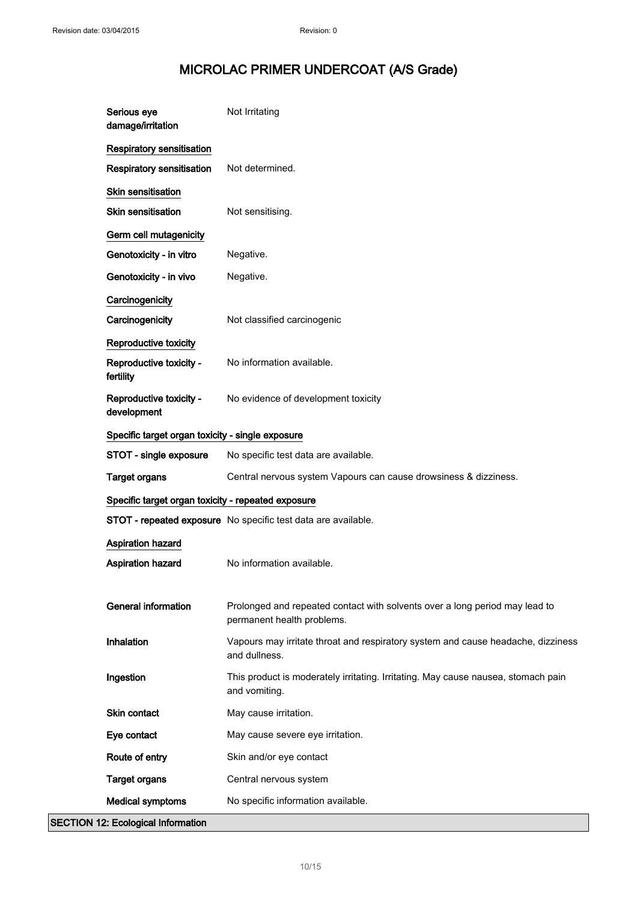| Serious eye<br>damage/irritation                   | Not Irritating                                                                                            |
|----------------------------------------------------|-----------------------------------------------------------------------------------------------------------|
| Respiratory sensitisation                          |                                                                                                           |
| Respiratory sensitisation                          | Not determined.                                                                                           |
| Skin sensitisation                                 |                                                                                                           |
| <b>Skin sensitisation</b>                          | Not sensitising.                                                                                          |
| Germ cell mutagenicity                             |                                                                                                           |
| Genotoxicity - in vitro                            | Negative.                                                                                                 |
| Genotoxicity - in vivo                             | Negative.                                                                                                 |
| Carcinogenicity                                    |                                                                                                           |
| Carcinogenicity                                    | Not classified carcinogenic                                                                               |
| Reproductive toxicity                              |                                                                                                           |
| Reproductive toxicity -<br>fertility               | No information available.                                                                                 |
| Reproductive toxicity -<br>development             | No evidence of development toxicity                                                                       |
| Specific target organ toxicity - single exposure   |                                                                                                           |
| STOT - single exposure                             | No specific test data are available.                                                                      |
| <b>Target organs</b>                               | Central nervous system Vapours can cause drowsiness & dizziness.                                          |
| Specific target organ toxicity - repeated exposure |                                                                                                           |
|                                                    | STOT - repeated exposure No specific test data are available.                                             |
| Aspiration hazard                                  |                                                                                                           |
| <b>Aspiration hazard</b>                           | No information available.                                                                                 |
|                                                    |                                                                                                           |
| <b>General information</b>                         | Prolonged and repeated contact with solvents over a long period may lead to<br>permanent health problems. |
| Inhalation                                         | Vapours may irritate throat and respiratory system and cause headache, dizziness<br>and dullness.         |
| Ingestion                                          | This product is moderately irritating. Irritating. May cause nausea, stomach pain<br>and vomiting.        |
| Skin contact                                       | May cause irritation.                                                                                     |
| Eye contact                                        | May cause severe eye irritation.                                                                          |
| Route of entry                                     | Skin and/or eye contact                                                                                   |
| <b>Target organs</b>                               | Central nervous system                                                                                    |
| <b>Medical symptoms</b>                            | No specific information available.                                                                        |
| <b>SECTION 12: Ecological Information</b>          |                                                                                                           |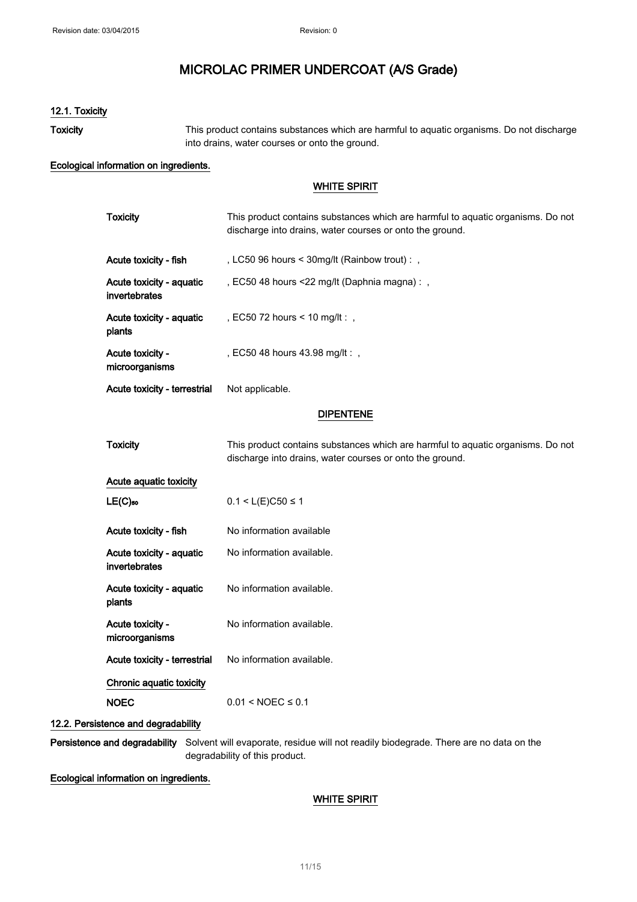### 12.1. Toxicity

Toxicity This product contains substances which are harmful to aquatic organisms. Do not discharge into drains, water courses or onto the ground.

#### Ecological information on ingredients.

### WHITE SPIRIT

| <b>Toxicity</b>                           | This product contains substances which are harmful to aquatic organisms. Do not<br>discharge into drains, water courses or onto the ground. |  |
|-------------------------------------------|---------------------------------------------------------------------------------------------------------------------------------------------|--|
| Acute toxicity - fish                     | , LC50 96 hours < 30mg/lt (Rainbow trout) : ,                                                                                               |  |
| Acute toxicity - aquatic<br>invertebrates | , EC50 48 hours <22 mg/lt (Daphnia magna) : ,                                                                                               |  |
| Acute toxicity - aquatic<br>plants        | , EC50 72 hours < 10 mg/lt:,                                                                                                                |  |
| Acute toxicity -<br>microorganisms        | , EC50 48 hours 43.98 mg/lt:,                                                                                                               |  |
| Acute toxicity - terrestrial              | Not applicable.                                                                                                                             |  |
| <b>DIPENTENE</b>                          |                                                                                                                                             |  |
| <b>Toxicity</b>                           | This product contains substances which are harmful to aquatic organisms. Do not<br>discharge into drains, water courses or onto the ground. |  |
| Acute aquatic toxicity                    |                                                                                                                                             |  |
| $LE(C)$ <sub>50</sub>                     | $0.1 < L(E)C50 \le 1$                                                                                                                       |  |
| Acute toxicity - fish                     | No information available                                                                                                                    |  |
| Acute toxicity - aquatic<br>invertebrates | No information available.                                                                                                                   |  |
| Acute toxicity - aquatic<br>plants        | No information available.                                                                                                                   |  |
| Acute toxicity -<br>microorganisms        | No information available.                                                                                                                   |  |
| Acute toxicity - terrestrial              | No information available.                                                                                                                   |  |
| Chronic aquatic toxicity                  |                                                                                                                                             |  |
| <b>NOEC</b>                               | $0.01 < \text{NOEC} \leq 0.1$                                                                                                               |  |
| tence and degradabilitv                   |                                                                                                                                             |  |

# 12.2. Persist

Persistence and degradability Solvent will evaporate, residue will not readily biodegrade. There are no data on the degradability of this product.

Ecological information on ingredients.

#### WHITE SPIRIT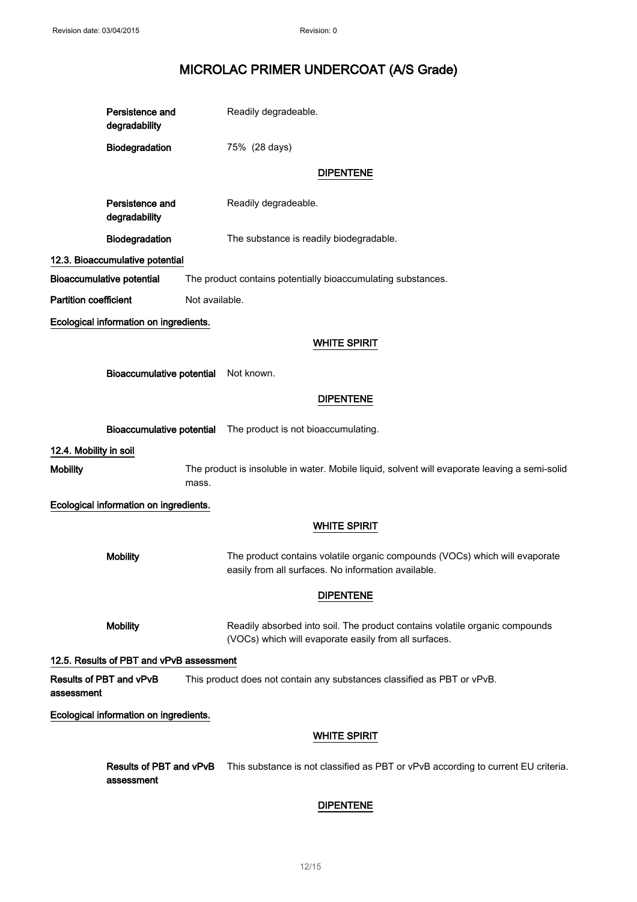Persistence and degradability Readily degradeable.

Biodegradation 75% (28 days)

### DIPENTENE

Persistence and degradability

Readily degradeable.

Biodegradation The substance is readily biodegradable.

12.3. Bioaccumulative potential

Bioaccumulative potential The product contains potentially bioaccumulating substances.

**Partition coefficient** Not available.

Ecological information on ingredients.

#### WHITE SPIRIT

Bioaccumulative potential Not known.

#### DIPENTENE

Bioaccumulative potential The product is not bioaccumulating.

12.4. Mobility in soil

Mobility The product is insoluble in water. Mobile liquid, solvent will evaporate leaving a semi-solid mass.

Ecological information on ingredients.

#### WHITE SPIRIT

Mobility The product contains volatile organic compounds (VOCs) which will evaporate easily from all surfaces. No information available.

#### DIPENTENE

Mobility **Readily absorbed into soil. The product contains volatile organic compounds** (VOCs) which will evaporate easily from all surfaces.

12.5. Results of PBT and vPvB assessment

Results of PBT and vPvB assessment This product does not contain any substances classified as PBT or vPvB.

Ecological information on ingredients.

#### WHITE SPIRIT

Results of PBT and vPvB assessment This substance is not classified as PBT or vPvB according to current EU criteria.

### DIPENTENE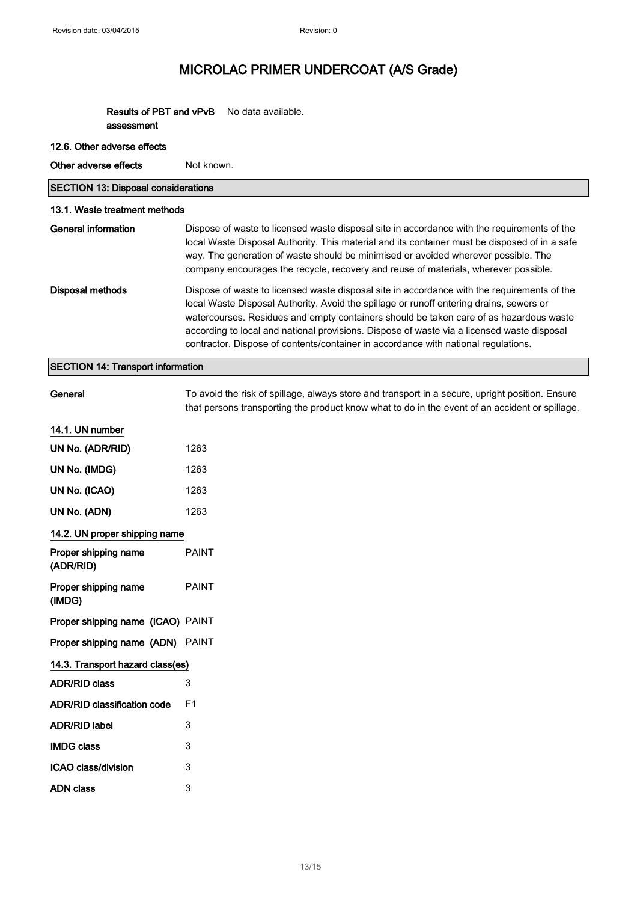#### Results of PBT and vPvB assessment No data available.

#### 12.6. Other adverse effects

Other adverse effects Not known.

| <b>SECTION 13: Disposal considerations</b> |                               |
|--------------------------------------------|-------------------------------|
|                                            | 13.1. Waste treatment methods |

### General information Dispose of waste to licensed waste disposal site in accordance with the requirements of the local Waste Disposal Authority. This material and its container must be disposed of in a safe way. The generation of waste should be minimised or avoided wherever possible. The company encourages the recycle, recovery and reuse of materials, wherever possible. Disposal methods Dispose of waste to licensed waste disposal site in accordance with the requirements of the local Waste Disposal Authority. Avoid the spillage or runoff entering drains, sewers or watercourses. Residues and empty containers should be taken care of as hazardous waste according to local and national provisions. Dispose of waste via a licensed waste disposal

#### SECTION 14: Transport information

To avoid the risk of spillage, always store and transport in a secure, upright position. Ensure that persons transporting the product know what to do in the event of an accident or spillage.

contractor. Dispose of contents/container in accordance with national regulations.

#### 14.1. UN number

| UN No. (ADR/RID)                   | 1263         |
|------------------------------------|--------------|
| UN No. (IMDG)                      | 1263         |
| UN No. (ICAO)                      | 1263         |
| UN No. (ADN)                       | 1263         |
| 14.2. UN proper shipping name      |              |
| Proper shipping name<br>(ADR/RID)  | <b>PAINT</b> |
| Proper shipping name<br>(IMDG)     | <b>PAINT</b> |
| Proper shipping name (ICAO) PAINT  |              |
| Proper shipping name (ADN) PAINT   |              |
| 14.3. Transport hazard class(es)   |              |
| <b>ADR/RID class</b>               | 3            |
| <b>ADR/RID classification code</b> | F1           |
| <b>ADR/RID label</b>               | 3            |
| <b>IMDG class</b>                  | 3            |
| ICAO class/division                | 3            |
| <b>ADN</b> class                   | 3            |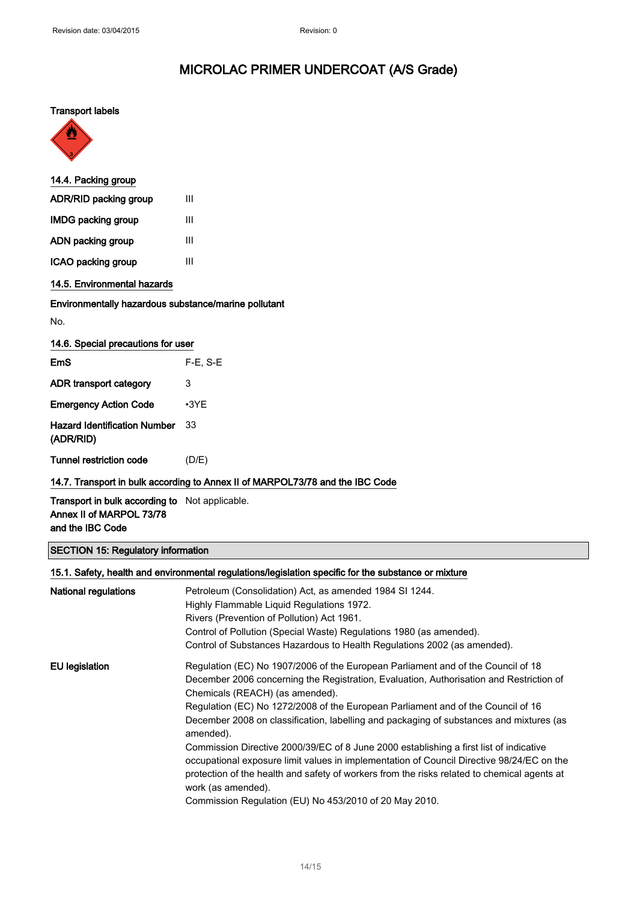### Transport labels



| 14.4. Packing group       |   |
|---------------------------|---|
| ADR/RID packing group     | Ш |
| <b>IMDG packing group</b> | Ш |
| ADN packing group         | Ш |
| ICAO packing group        | Ш |
|                           |   |

### 14.5. Environmental hazards

#### Environmentally hazardous substance/marine pollutant

No.

| <b>EmS</b>                                       | $F-E. S-E$  |
|--------------------------------------------------|-------------|
| ADR transport category                           | 3           |
| <b>Emergency Action Code</b>                     | $\cdot$ 3YE |
| <b>Hazard Identification Number</b><br>(ADR/RID) | 33          |
| Tunnel restriction code                          | (D/E)       |

### 14.7. Transport in bulk according to Annex II of MARPOL73/78 and the IBC Code

Transport in bulk according to Not applicable. Annex II of MARPOL 73/78 and the IBC Code

### SECTION 15: Regulatory information

| 15.1. Safety, health and environmental regulations/legislation specific for the substance or mixture |                                                                                                                                                                                                                                                                                    |
|------------------------------------------------------------------------------------------------------|------------------------------------------------------------------------------------------------------------------------------------------------------------------------------------------------------------------------------------------------------------------------------------|
| National regulations                                                                                 | Petroleum (Consolidation) Act, as amended 1984 SI 1244.                                                                                                                                                                                                                            |
|                                                                                                      | Highly Flammable Liquid Regulations 1972.                                                                                                                                                                                                                                          |
|                                                                                                      | Rivers (Prevention of Pollution) Act 1961.                                                                                                                                                                                                                                         |
|                                                                                                      | Control of Pollution (Special Waste) Regulations 1980 (as amended).                                                                                                                                                                                                                |
|                                                                                                      | Control of Substances Hazardous to Health Regulations 2002 (as amended).                                                                                                                                                                                                           |
| EU legislation                                                                                       | Regulation (EC) No 1907/2006 of the European Parliament and of the Council of 18                                                                                                                                                                                                   |
|                                                                                                      | December 2006 concerning the Registration, Evaluation, Authorisation and Restriction of                                                                                                                                                                                            |
|                                                                                                      | Chemicals (REACH) (as amended).                                                                                                                                                                                                                                                    |
|                                                                                                      | Regulation (EC) No 1272/2008 of the European Parliament and of the Council of 16                                                                                                                                                                                                   |
|                                                                                                      | December 2008 on classification, labelling and packaging of substances and mixtures (as<br>amended).                                                                                                                                                                               |
|                                                                                                      | Commission Directive 2000/39/EC of 8 June 2000 establishing a first list of indicative<br>occupational exposure limit values in implementation of Council Directive 98/24/EC on the<br>protection of the health and safety of workers from the risks related to chemical agents at |
|                                                                                                      | work (as amended).                                                                                                                                                                                                                                                                 |
|                                                                                                      | Commission Regulation (EU) No 453/2010 of 20 May 2010.                                                                                                                                                                                                                             |